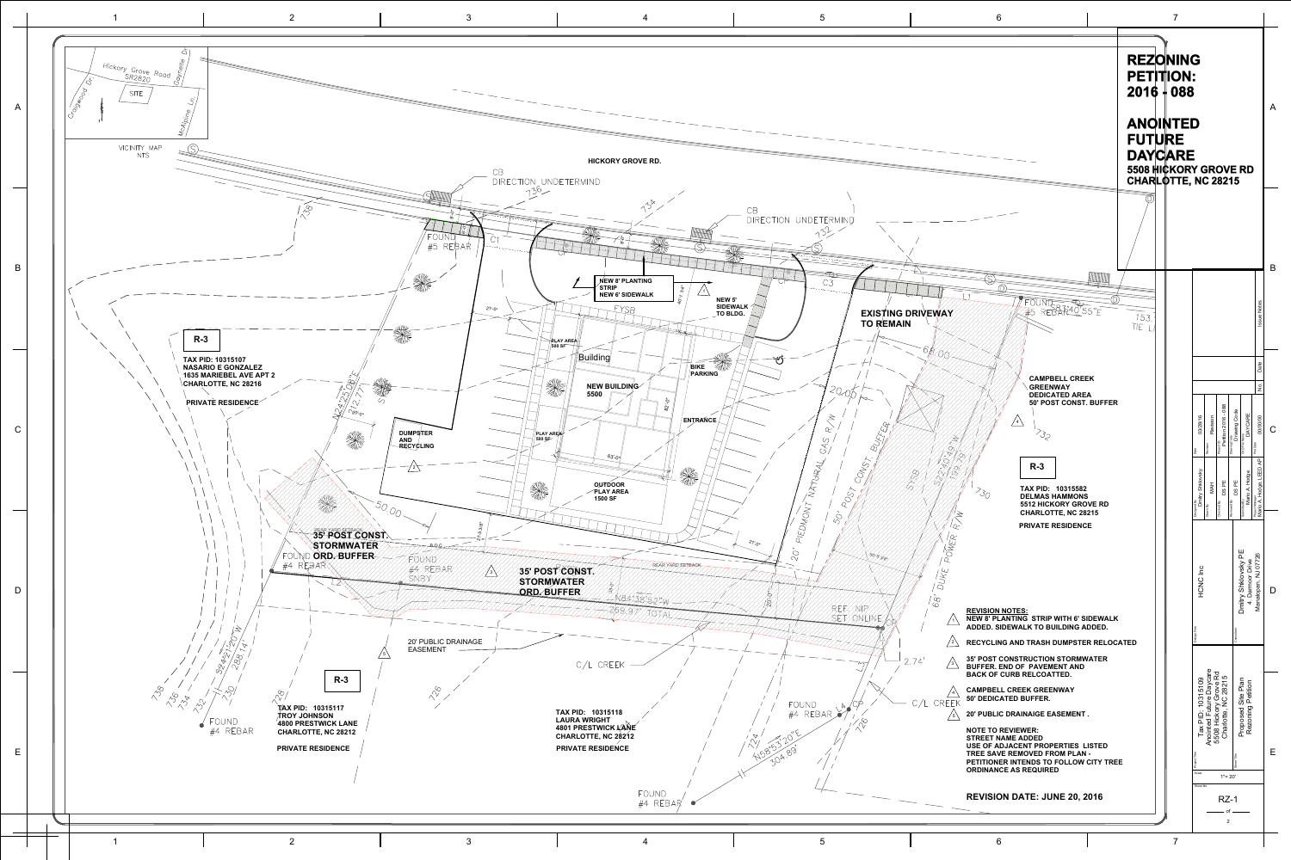